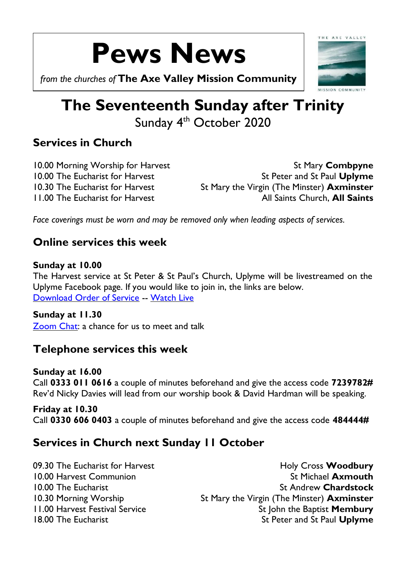# **Pews News**

*from the churches of* **The Axe Valley Mission Community**

## **The Seventeenth Sunday after Trinity** Sunday 4<sup>th</sup> October 2020

## **Services in Church**

10.00 Morning Worship for Harvest **St Mary Combpyne** 10.00 The Eucharist for Harvest St Peter and St Paul Uplyme 10.30 The Eucharist for Harvest St Mary the Virgin (The Minster) **Axminster** 11.00 The Eucharist for Harvest All Saints Church, **All Saints**

*Face coverings must be worn and may be removed only when leading aspects of services.*

## **Online services this week**

#### **Sunday at 10.00**

The Harvest service at St Peter & St Paul's Church, Uplyme will be livestreamed on the Uplyme Facebook page. If you would like to join in, the links are below. [Download Order of Service](http://www.axmouthcommunity.org/wp-content/uploads/2020/10/Harvest-at-Uplyme-4.10.20.pdf) -- [Watch Live](https://www.youtube.com/channel/UCclQWLSAS49TN4ACnJTeFIQ)

#### **Sunday at 11.30**

[Zoom Chat:](https://us02web.zoom.us/j/81020110380) a chance for us to meet and talk

## **Telephone services this week**

#### **Sunday at 16.00**

Call **0333 011 0616** a couple of minutes beforehand and give the access code **7239782#** Rev'd Nicky Davies will lead from our worship book & David Hardman will be speaking.

**Friday at 10.30** Call **0330 606 0403** a couple of minutes beforehand and give the access code **484444#**

## **Services in Church next Sunday 11 October**

09.30 The Eucharist for Harvest **Holy Cross Woodbury** 10.00 Harvest Communion St Michael **Axmouth** 10.00 The Eucharist **St Andrew Chardstock** St Andrew Chardstock 10.30 Morning Worship St Mary the Virgin (The Minster) **Axminster** 11.00 Harvest Festival Service St John the Baptist **Membury** 18.00 The Eucharist **St Peter and St Paul Uplyme**